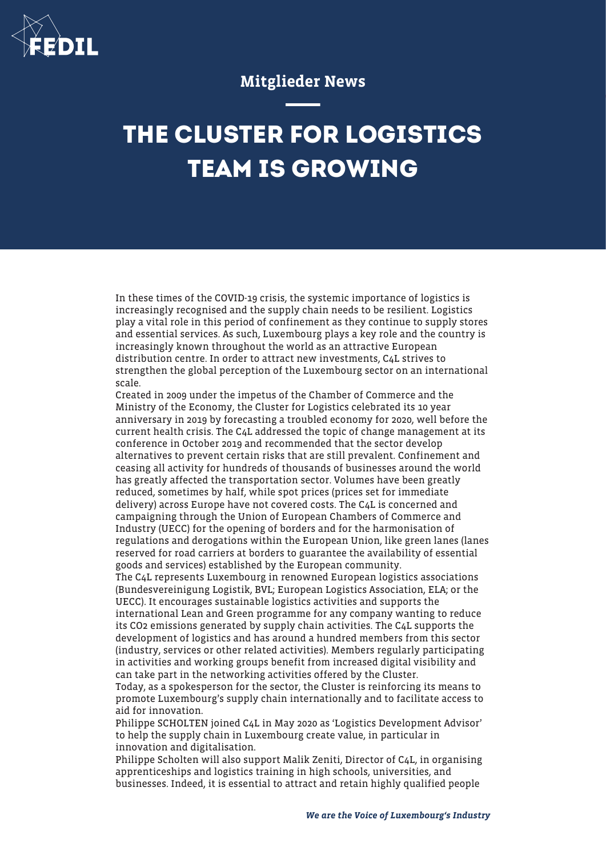

## Mitglieder News

## **THE CLUSTER FOR LOGISTICS TEAM IS GROWING**

In these times of the COVID-19 crisis, the systemic importance of logistics is increasingly recognised and the supply chain needs to be resilient. Logistics play a vital role in this period of confinement as they continue to supply stores and essential services. As such, Luxembourg plays a key role and the country is increasingly known throughout the world as an attractive European distribution centre. In order to attract new investments, C4L strives to strengthen the global perception of the Luxembourg sector on an international scale.

Created in 2009 under the impetus of the Chamber of Commerce and the Ministry of the Economy, the Cluster for Logistics celebrated its 10 year anniversary in 2019 by forecasting a troubled economy for 2020, well before the current health crisis. The C4L addressed the topic of change management at its conference in October 2019 and recommended that the sector develop alternatives to prevent certain risks that are still prevalent. Confinement and ceasing all activity for hundreds of thousands of businesses around the world has greatly affected the transportation sector. Volumes have been greatly reduced, sometimes by half, while spot prices (prices set for immediate delivery) across Europe have not covered costs. The C4L is concerned and campaigning through the Union of European Chambers of Commerce and Industry (UECC) for the opening of borders and for the harmonisation of regulations and derogations within the European Union, like green lanes (lanes reserved for road carriers at borders to guarantee the availability of essential goods and services) established by the European community.

The C4L represents Luxembourg in renowned European logistics associations (Bundesvereinigung Logistik, BVL; European Logistics Association, ELA; or the UECC). It encourages sustainable logistics activities and supports the international Lean and Green programme for any company wanting to reduce

its CO2 emissions generated by supply chain activities. The C4L supports the development of logistics and has around a hundred members from this sector (industry, services or other related activities). Members regularly participating in activities and working groups benefit from increased digital visibility and can take part in the networking activities offered by the Cluster.

Today, as a spokesperson for the sector, the Cluster is reinforcing its means to promote Luxembourg's supply chain internationally and to facilitate access to aid for innovation.

Philippe SCHOLTEN joined C4L in May 2020 as 'Logistics Development Advisor' to help the supply chain in Luxembourg create value, in particular in innovation and digitalisation.

Philippe Scholten will also support Malik Zeniti, Director of C4L, in organising apprenticeships and logistics training in high schools, universities, and businesses. Indeed, it is essential to attract and retain highly qualified people